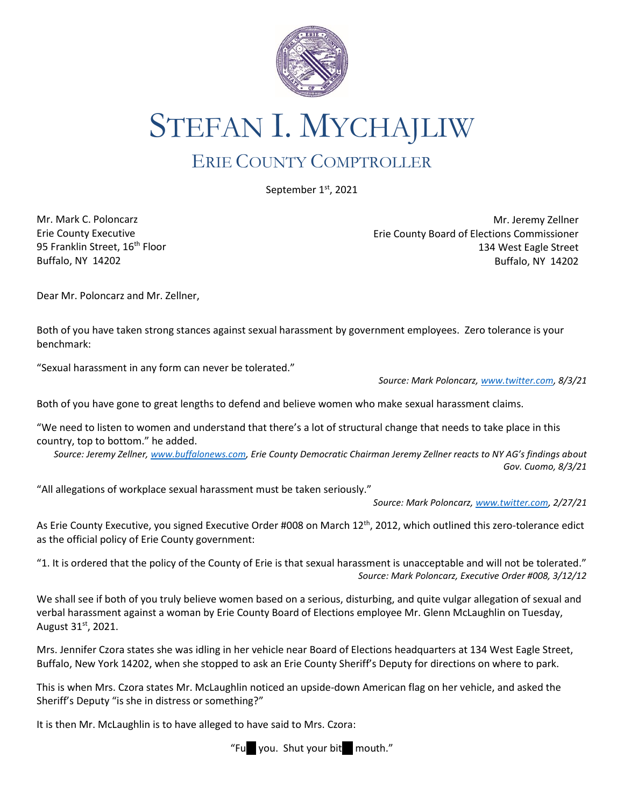

STEFAN I. MYCHAJLIW

## ERIE COUNTY COMPTROLLER

September 1st, 2021

Mr. Mark C. Poloncarz Erie County Executive 95 Franklin Street, 16<sup>th</sup> Floor Buffalo, NY 14202

Mr. Jeremy Zellner Erie County Board of Elections Commissioner 134 West Eagle Street Buffalo, NY 14202

Dear Mr. Poloncarz and Mr. Zellner,

Both of you have taken strong stances against sexual harassment by government employees. Zero tolerance is your benchmark:

"Sexual harassment in any form can never be tolerated."

*Source: Mark Poloncarz, [www.twitter.com,](http://www.twitter.com/) 8/3/21*

Both of you have gone to great lengths to defend and believe women who make sexual harassment claims.

"We need to listen to women and understand that there's a lot of structural change that needs to take place in this country, top to bottom." he added.

*Source: Jeremy Zellner, [www.buffalonews.com](http://www.buffalonews.com/), Erie County Democratic Chairman Jeremy Zellner reacts to NY AG's findings about Gov. Cuomo, 8/3/21*

"All allegations of workplace sexual harassment must be taken seriously."

*Source: Mark Poloncarz, [www.twitter.com,](http://www.twitter.com/) 2/27/21*

As Erie County Executive, you signed Executive Order #008 on March 12<sup>th</sup>, 2012, which outlined this zero-tolerance edict as the official policy of Erie County government:

"1. It is ordered that the policy of the County of Erie is that sexual harassment is unacceptable and will not be tolerated." *Source: Mark Poloncarz, Executive Order #008, 3/12/12*

We shall see if both of you truly believe women based on a serious, disturbing, and quite vulgar allegation of sexual and verbal harassment against a woman by Erie County Board of Elections employee Mr. Glenn McLaughlin on Tuesday, August 31st, 2021.

Mrs. Jennifer Czora states she was idling in her vehicle near Board of Elections headquarters at 134 West Eagle Street, Buffalo, New York 14202, when she stopped to ask an Erie County Sheriff's Deputy for directions on where to park.

This is when Mrs. Czora states Mr. McLaughlin noticed an upside-down American flag on her vehicle, and asked the Sheriff's Deputy "is she in distress or something?"

It is then Mr. McLaughlin is to have alleged to have said to Mrs. Czora: